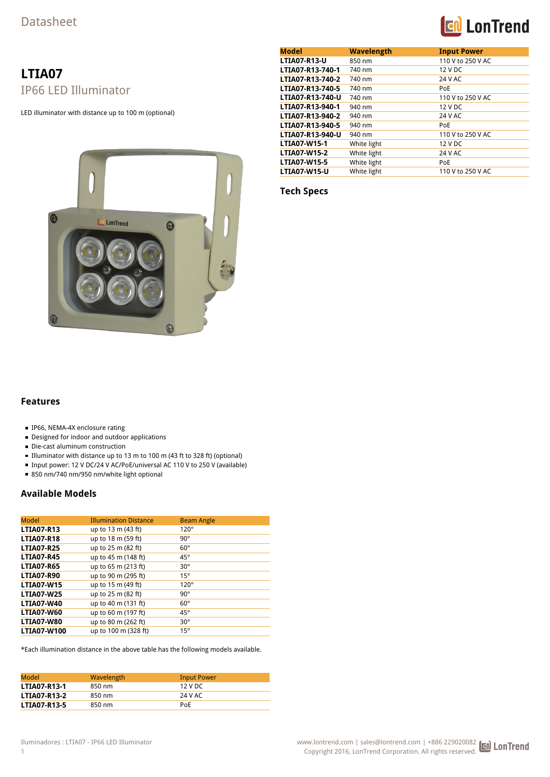## **Con** LonTrend

## **LTIA07** IP66 LED Illuminator

LED illuminator with distance up to 100 m (optional)



| <b>Model</b>        | <b>Wavelength</b> | <b>Input Power</b> |
|---------------------|-------------------|--------------------|
| <b>LTIA07-R13-U</b> | 850 nm            | 110 V to 250 V AC  |
| LTIA07-R13-740-1    | 740 nm            | 12 V DC            |
| LTIA07-R13-740-2    | 740 nm            | 24 V AC            |
| LTIA07-R13-740-5    | 740 nm            | <b>PoE</b>         |
| LTIA07-R13-740-U    | 740 nm            | 110 V to 250 V AC  |
| LTIA07-R13-940-1    | 940 nm            | 12 V DC            |
| LTIA07-R13-940-2    | 940 nm            | 24 V AC            |
| LTIA07-R13-940-5    | 940 nm            | PoE                |
| LTIA07-R13-940-U    | 940 nm            | 110 V to 250 V AC  |
| <b>LTIA07-W15-1</b> | White light       | 12 V DC            |
| <b>LTIA07-W15-2</b> | White light       | 24 V AC            |
| <b>LTIA07-W15-5</b> | White light       | PoE                |
| <b>LTIA07-W15-U</b> | White light       | 110 V to 250 V AC  |

**Tech Specs**

## **Features**

- IP66, NEMA-4X enclosure rating
- Designed for indoor and outdoor applications
- Die-cast aluminum construction
- Illuminator with distance up to 13 m to 100 m (43 ft to 328 ft) (optional)
- Input power: 12 V DC/24 V AC/PoE/universal AC 110 V to 250 V (available)
- 850 nm/740 nm/950 nm/white light optional

## **Available Models**

| <b>Model</b>       | <b>Illumination Distance</b> | <b>Beam Angle</b> |
|--------------------|------------------------------|-------------------|
| <b>LTIA07-R13</b>  | up to 13 m (43 ft)           | $120^\circ$       |
| <b>LTIA07-R18</b>  | up to 18 m (59 ft)           | $90^{\circ}$      |
| <b>LTIA07-R25</b>  | up to 25 m (82 ft)           | $60^{\circ}$      |
| <b>LTIA07-R45</b>  | up to 45 m (148 ft)          | $45^{\circ}$      |
| <b>LTIA07-R65</b>  | up to 65 m (213 ft)          | $30^{\circ}$      |
| <b>LTIA07-R90</b>  | up to 90 m (295 ft)          | $15^{\circ}$      |
| <b>LTIA07-W15</b>  | up to 15 m (49 ft)           | $120^\circ$       |
| <b>LTIA07-W25</b>  | up to 25 m (82 ft)           | $90^{\circ}$      |
| <b>LTIA07-W40</b>  | up to 40 m (131 ft)          | $60^{\circ}$      |
| <b>LTIA07-W60</b>  | up to 60 m (197 ft)          | $45^{\circ}$      |
| <b>LTIA07-W80</b>  | up to 80 m (262 ft)          | $30^{\circ}$      |
| <b>LTIA07-W100</b> | up to 100 m (328 ft)         | $15^{\circ}$      |

\*Each illumination distance in the above table has the following models available.

| Model               | Wavelength | <b>Input Power</b> |
|---------------------|------------|--------------------|
| <b>LTIA07-R13-1</b> | 850 nm     | 12 V DC            |
| <b>LTIA07-R13-2</b> | 850 nm     | 24 V AC            |
| <b>LTIA07-R13-5</b> | 850 nm     | PoF                |